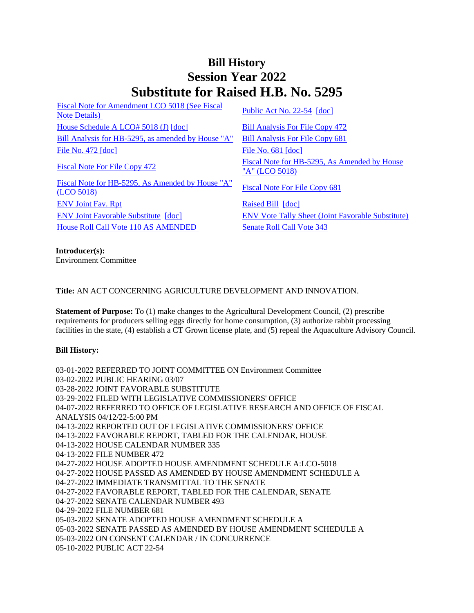## **Bill History Session Year 2022 Substitute for Raised H.B. No. 5295**

[Fiscal Note for Amendment LCO 5018 \(See Fiscal](/2022/fna/pdf/2022HB-05295-R00LCO05018-FNA.pdf)  <u>Public Act No. 22-54</u> [doc]<br>[Note Details\)](/2022/fna/pdf/2022HB-05295-R00LCO05018-FNA.pdf) [Public Act No. 22-54](/2022/ACT/PA/PDF/2022PA-00054-R00HB-05295-PA.PDF) [\[doc\]](https://search.cga.state.ct.us/dl2022/PA/DOC/2022PA-00054-R00HB-05295-PA.DOCX) [House Schedule A LCO# 5018 \(J\)](/2022/amd/H/pdf/2022HB-05295-R00HA-AMD.pdf) [\[doc\]](https://search.cga.state.ct.us/dl2022/AMd/DOC/2022HB-05295-R00HA-AMD.Docx) [Bill Analysis For File Copy 472](/2022/BA/PDF/2022HB-05295-R000472-BA.PDF) [Bill Analysis for HB-5295, as amended by House "A"](/2022/BA/PDF/2022HB-05295-R01-BA.PDF) [Bill Analysis For File Copy 681](/2022/BA/PDF/2022HB-05295-R010681-BA.PDF) [File No. 472](/2022/FC/PDF/2022HB-05295-R000472-FC.PDF) [\[doc\]](https://search.cga.state.ct.us/dl2022/fc/doc/2022HB-05295-R000681-FC.docx) [File No. 681](/2022/FC/PDF/2022HB-05295-R000681-FC.PDF) [doc] [Fiscal Note For File Copy 472](/2022/FN/PDF/2022HB-05295-R000472-FN.PDF) Fiscal Note for HB-5295, As Amended by House

[Fiscal Note for HB-5295, As Amended by House "A"](/2022/FN/PDF/2022HB-05295-R02-FN.PDF)  Fiscal Note For File Copy 681<br>[\(LCO 5018\)](/2022/FN/PDF/2022HB-05295-R02-FN.PDF) [Fiscal Note For File Copy 681](/2022/FN/PDF/2022HB-05295-R020681-FN.PDF) [ENV Joint Fav. Rpt](/2022/JFR/H/PDF/2022HB-05295-R00ENV-JFR.PDF) [Raised Bill](/2022/TOB/H/PDF/2022HB-05295-R00-HB.PDF) [\[doc\]](https://search.cga.state.ct.us/dl2022/TOB/DOC/2022HB-05295-R00-HB.DOCX) [ENV Joint Favorable Substitute](/2022/TOB/H/PDF/2022HB-05295-R01-HB.PDF) [\[doc\]](https://search.cga.state.ct.us/dl2022/TOB/DOC/2022HB-05295-R01-HB.DOCX) [ENV Vote Tally Sheet \(Joint Favorable Substitute\)](/2022/TS/H/PDF/2022HB-05295-R00ENV-CV62-TS.PDF) [House Roll Call Vote 110 AS AMENDED](/2022/VOTE/H/PDF/2022HV-00110-R00HB05295-HV.PDF) [Senate Roll Call Vote 343](/2022/VOTE/S/PDF/2022SV-00343-R00HB05295-SV.PDF) 

["A" \(LCO 5018\)](/2022/FN/PDF/2022HB-05295-R01-FN.PDF)

**Introducer(s):** Environment Committee

**Title:** AN ACT CONCERNING AGRICULTURE DEVELOPMENT AND INNOVATION.

**Statement of Purpose:** To (1) make changes to the Agricultural Development Council, (2) prescribe requirements for producers selling eggs directly for home consumption, (3) authorize rabbit processing facilities in the state, (4) establish a CT Grown license plate, and (5) repeal the Aquaculture Advisory Council.

## **Bill History:**

03-01-2022 REFERRED TO JOINT COMMITTEE ON Environment Committee 03-02-2022 PUBLIC HEARING 03/07 03-28-2022 JOINT FAVORABLE SUBSTITUTE 03-29-2022 FILED WITH LEGISLATIVE COMMISSIONERS' OFFICE 04-07-2022 REFERRED TO OFFICE OF LEGISLATIVE RESEARCH AND OFFICE OF FISCAL ANALYSIS 04/12/22-5:00 PM 04-13-2022 REPORTED OUT OF LEGISLATIVE COMMISSIONERS' OFFICE 04-13-2022 FAVORABLE REPORT, TABLED FOR THE CALENDAR, HOUSE 04-13-2022 HOUSE CALENDAR NUMBER 335 04-13-2022 FILE NUMBER 472 04-27-2022 HOUSE ADOPTED HOUSE AMENDMENT SCHEDULE A:LCO-5018 04-27-2022 HOUSE PASSED AS AMENDED BY HOUSE AMENDMENT SCHEDULE A 04-27-2022 IMMEDIATE TRANSMITTAL TO THE SENATE 04-27-2022 FAVORABLE REPORT, TABLED FOR THE CALENDAR, SENATE 04-27-2022 SENATE CALENDAR NUMBER 493 04-29-2022 FILE NUMBER 681 05-03-2022 SENATE ADOPTED HOUSE AMENDMENT SCHEDULE A 05-03-2022 SENATE PASSED AS AMENDED BY HOUSE AMENDMENT SCHEDULE A 05-03-2022 ON CONSENT CALENDAR / IN CONCURRENCE 05-10-2022 PUBLIC ACT 22-54